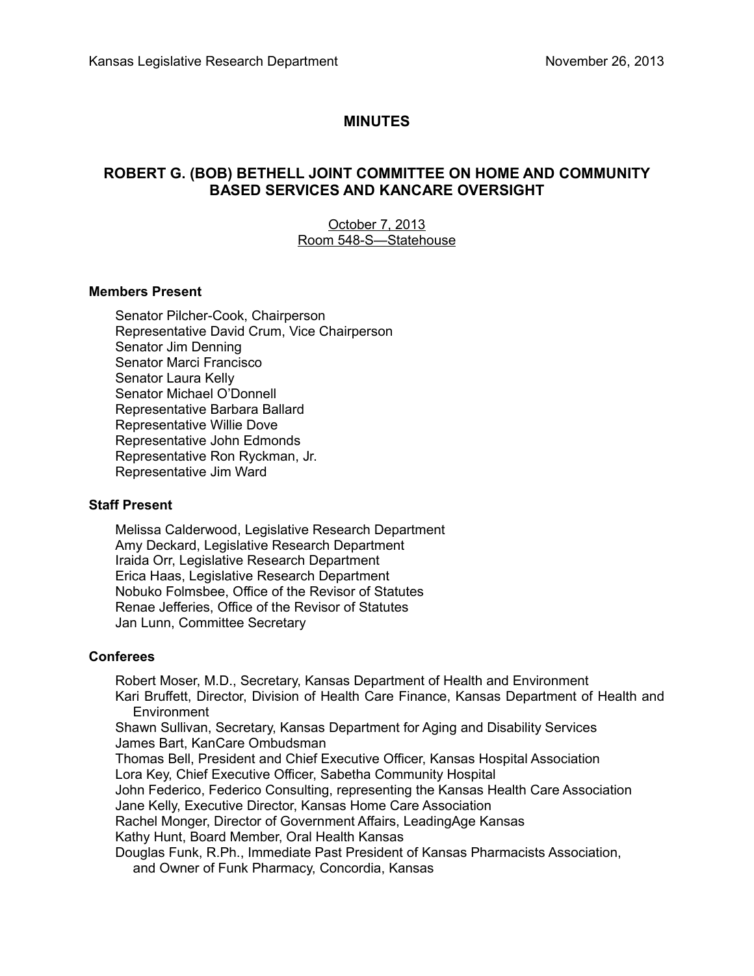# **MINUTES**

# **ROBERT G. (BOB) BETHELL JOINT COMMITTEE ON HOME AND COMMUNITY BASED SERVICES AND KANCARE OVERSIGHT**

## October 7, 2013 Room 548-S-Statehouse

### **Members Present**

Senator Pilcher-Cook, Chairperson Representative David Crum, Vice Chairperson Senator Jim Denning Senator Marci Francisco Senator Laura Kelly Senator Michael O'Donnell Representative Barbara Ballard Representative Willie Dove Representative John Edmonds Representative Ron Ryckman, Jr. Representative Jim Ward

### **Staff Present**

Melissa Calderwood, Legislative Research Department Amy Deckard, Legislative Research Department Iraida Orr, Legislative Research Department Erica Haas, Legislative Research Department Nobuko Folmsbee, Office of the Revisor of Statutes Renae Jefferies, Office of the Revisor of Statutes Jan Lunn, Committee Secretary

#### **Conferees**

Robert Moser, M.D., Secretary, Kansas Department of Health and Environment Kari Bruffett, Director, Division of Health Care Finance, Kansas Department of Health and **Environment** 

Shawn Sullivan, Secretary, Kansas Department for Aging and Disability Services James Bart, KanCare Ombudsman

Thomas Bell, President and Chief Executive Officer, Kansas Hospital Association Lora Key, Chief Executive Officer, Sabetha Community Hospital

John Federico, Federico Consulting, representing the Kansas Health Care Association

Jane Kelly, Executive Director, Kansas Home Care Association

Rachel Monger, Director of Government Affairs, LeadingAge Kansas

Kathy Hunt, Board Member, Oral Health Kansas

Douglas Funk, R.Ph., Immediate Past President of Kansas Pharmacists Association, and Owner of Funk Pharmacy, Concordia, Kansas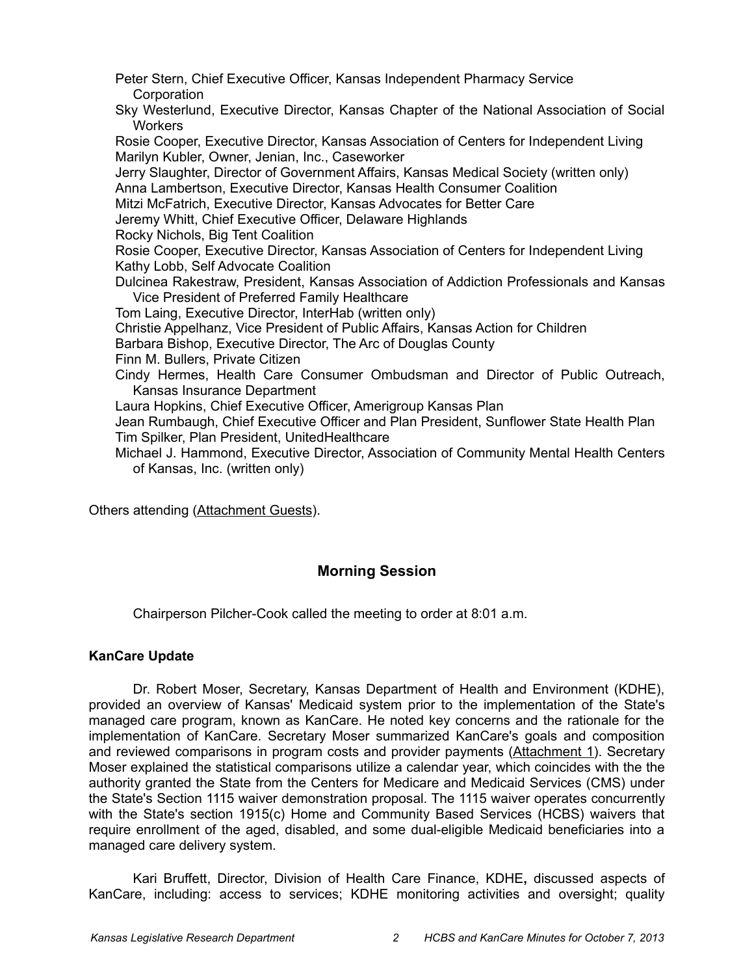Peter Stern, Chief Executive Officer, Kansas Independent Pharmacy Service **Corporation** Sky Westerlund, Executive Director, Kansas Chapter of the National Association of Social **Workers** Rosie Cooper, Executive Director, Kansas Association of Centers for Independent Living Marilyn Kubler, Owner, Jenian, Inc., Caseworker Jerry Slaughter, Director of Government Affairs, Kansas Medical Society (written only) Anna Lambertson, Executive Director, Kansas Health Consumer Coalition Mitzi McFatrich, Executive Director, Kansas Advocates for Better Care Jeremy Whitt, Chief Executive Officer, Delaware Highlands Rocky Nichols, Big Tent Coalition Rosie Cooper, Executive Director, Kansas Association of Centers for Independent Living Kathy Lobb, Self Advocate Coalition Dulcinea Rakestraw, President, Kansas Association of Addiction Professionals and Kansas Vice President of Preferred Family Healthcare Tom Laing, Executive Director, InterHab (written only) Christie Appelhanz, Vice President of Public Affairs, Kansas Action for Children Barbara Bishop, Executive Director, The Arc of Douglas County Finn M. Bullers, Private Citizen Cindy Hermes, Health Care Consumer Ombudsman and Director of Public Outreach, Kansas Insurance Department Laura Hopkins, Chief Executive Officer, Amerigroup Kansas Plan Jean Rumbaugh, Chief Executive Officer and Plan President, Sunflower State Health Plan Tim Spilker, Plan President, UnitedHealthcare Michael J. Hammond, Executive Director, Association of Community Mental Health Centers of Kansas, Inc. (written only)

Others attending (Attachment Guests).

# **Morning Session**

Chairperson Pilcher-Cook called the meeting to order at 8:01 a.m.

## **KanCare Update**

Dr. Robert Moser, Secretary, Kansas Department of Health and Environment (KDHE), provided an overview of Kansas' Medicaid system prior to the implementation of the State's managed care program, known as KanCare. He noted key concerns and the rationale for the implementation of KanCare. Secretary Moser summarized KanCare's goals and composition and reviewed comparisons in program costs and provider payments (Attachment 1). Secretary Moser explained the statistical comparisons utilize a calendar year, which coincides with the the authority granted the State from the Centers for Medicare and Medicaid Services (CMS) under the State's Section 1115 waiver demonstration proposal. The 1115 waiver operates concurrently with the State's section 1915(c) Home and Community Based Services (HCBS) waivers that require enrollment of the aged, disabled, and some dual-eligible Medicaid beneficiaries into a managed care delivery system.

Kari Bruffett, Director, Division of Health Care Finance, KDHE**,** discussed aspects of KanCare, including: access to services; KDHE monitoring activities and oversight; quality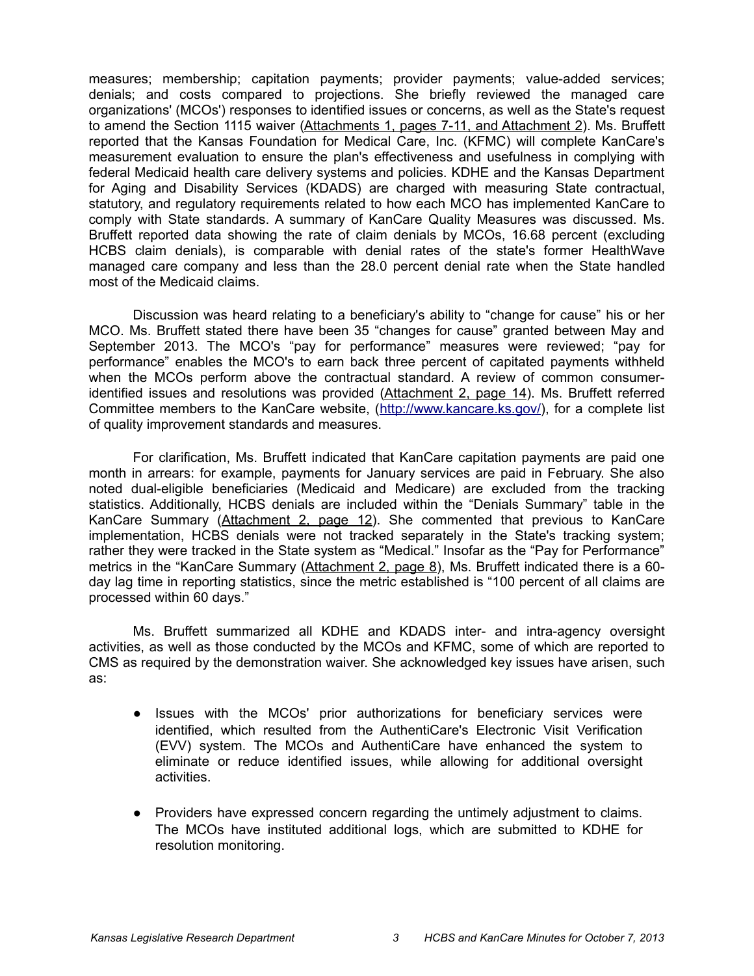measures; membership; capitation payments; provider payments; value-added services; denials; and costs compared to projections. She briefly reviewed the managed care organizations' (MCOs') responses to identified issues or concerns, as well as the State's request to amend the Section 1115 waiver (Attachments 1, pages 7-11, and Attachment 2). Ms. Bruffett reported that the Kansas Foundation for Medical Care, Inc. (KFMC) will complete KanCare's measurement evaluation to ensure the plan's effectiveness and usefulness in complying with federal Medicaid health care delivery systems and policies. KDHE and the Kansas Department for Aging and Disability Services (KDADS) are charged with measuring State contractual, statutory, and regulatory requirements related to how each MCO has implemented KanCare to comply with State standards. A summary of KanCare Quality Measures was discussed. Ms. Bruffett reported data showing the rate of claim denials by MCOs, 16.68 percent (excluding HCBS claim denials), is comparable with denial rates of the state's former HealthWave managed care company and less than the 28.0 percent denial rate when the State handled most of the Medicaid claims.

Discussion was heard relating to a beneficiary's ability to "change for cause" his or her MCO. Ms. Bruffett stated there have been 35 "changes for cause" granted between May and September 2013. The MCO's "pay for performance" measures were reviewed; "pay for performance" enables the MCO's to earn back three percent of capitated payments withheld when the MCOs perform above the contractual standard. A review of common consumeridentified issues and resolutions was provided (Attachment 2, page 14). Ms. Bruffett referred Committee members to the KanCare website, [\(http://www.kancare.ks.gov/\)](http://www.kancare.ks.gov/), for a complete list of quality improvement standards and measures.

For clarification, Ms. Bruffett indicated that KanCare capitation payments are paid one month in arrears: for example, payments for January services are paid in February. She also noted dual-eligible beneficiaries (Medicaid and Medicare) are excluded from the tracking statistics. Additionally, HCBS denials are included within the "Denials Summary" table in the KanCare Summary (Attachment 2, page 12). She commented that previous to KanCare implementation, HCBS denials were not tracked separately in the State's tracking system; rather they were tracked in the State system as "Medical." Insofar as the "Pay for Performance" metrics in the "KanCare Summary (Attachment 2, page 8), Ms. Bruffett indicated there is a 60day lag time in reporting statistics, since the metric established is "100 percent of all claims are processed within 60 days."

Ms. Bruffett summarized all KDHE and KDADS inter- and intra-agency oversight activities, as well as those conducted by the MCOs and KFMC, some of which are reported to CMS as required by the demonstration waiver. She acknowledged key issues have arisen, such as:

- Issues with the MCOs' prior authorizations for beneficiary services were identified, which resulted from the AuthentiCare's Electronic Visit Verification (EVV) system. The MCOs and AuthentiCare have enhanced the system to eliminate or reduce identified issues, while allowing for additional oversight activities.
- Providers have expressed concern regarding the untimely adjustment to claims. The MCOs have instituted additional logs, which are submitted to KDHE for resolution monitoring.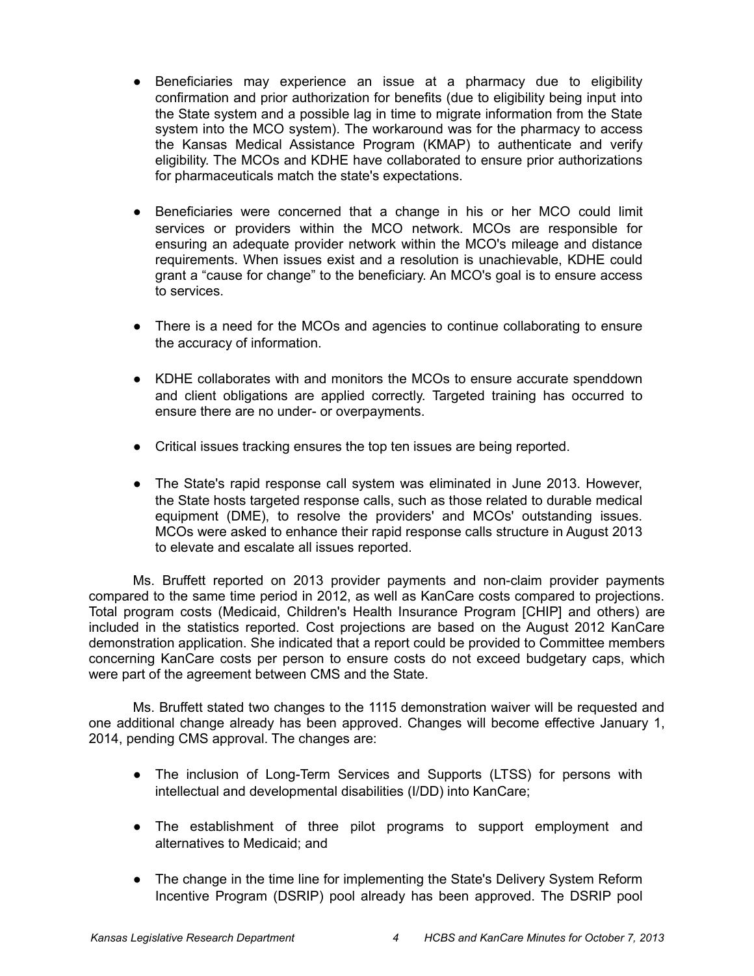- Beneficiaries may experience an issue at a pharmacy due to eligibility confirmation and prior authorization for benefits (due to eligibility being input into the State system and a possible lag in time to migrate information from the State system into the MCO system). The workaround was for the pharmacy to access the Kansas Medical Assistance Program (KMAP) to authenticate and verify eligibility. The MCOs and KDHE have collaborated to ensure prior authorizations for pharmaceuticals match the state's expectations.
- Beneficiaries were concerned that a change in his or her MCO could limit services or providers within the MCO network. MCOs are responsible for ensuring an adequate provider network within the MCO's mileage and distance requirements. When issues exist and a resolution is unachievable, KDHE could grant a "cause for change" to the beneficiary. An MCO's goal is to ensure access to services.
- There is a need for the MCOs and agencies to continue collaborating to ensure the accuracy of information.
- KDHE collaborates with and monitors the MCOs to ensure accurate spenddown and client obligations are applied correctly. Targeted training has occurred to ensure there are no under- or overpayments.
- Critical issues tracking ensures the top ten issues are being reported.
- The State's rapid response call system was eliminated in June 2013. However, the State hosts targeted response calls, such as those related to durable medical equipment (DME), to resolve the providers' and MCOs' outstanding issues. MCOs were asked to enhance their rapid response calls structure in August 2013 to elevate and escalate all issues reported.

Ms. Bruffett reported on 2013 provider payments and non-claim provider payments compared to the same time period in 2012, as well as KanCare costs compared to projections. Total program costs (Medicaid, Children's Health Insurance Program [CHIP] and others) are included in the statistics reported. Cost projections are based on the August 2012 KanCare demonstration application. She indicated that a report could be provided to Committee members concerning KanCare costs per person to ensure costs do not exceed budgetary caps, which were part of the agreement between CMS and the State.

Ms. Bruffett stated two changes to the 1115 demonstration waiver will be requested and one additional change already has been approved. Changes will become effective January 1, 2014, pending CMS approval. The changes are:

- The inclusion of Long-Term Services and Supports (LTSS) for persons with intellectual and developmental disabilities (I/DD) into KanCare;
- The establishment of three pilot programs to support employment and alternatives to Medicaid; and
- The change in the time line for implementing the State's Delivery System Reform Incentive Program (DSRIP) pool already has been approved. The DSRIP pool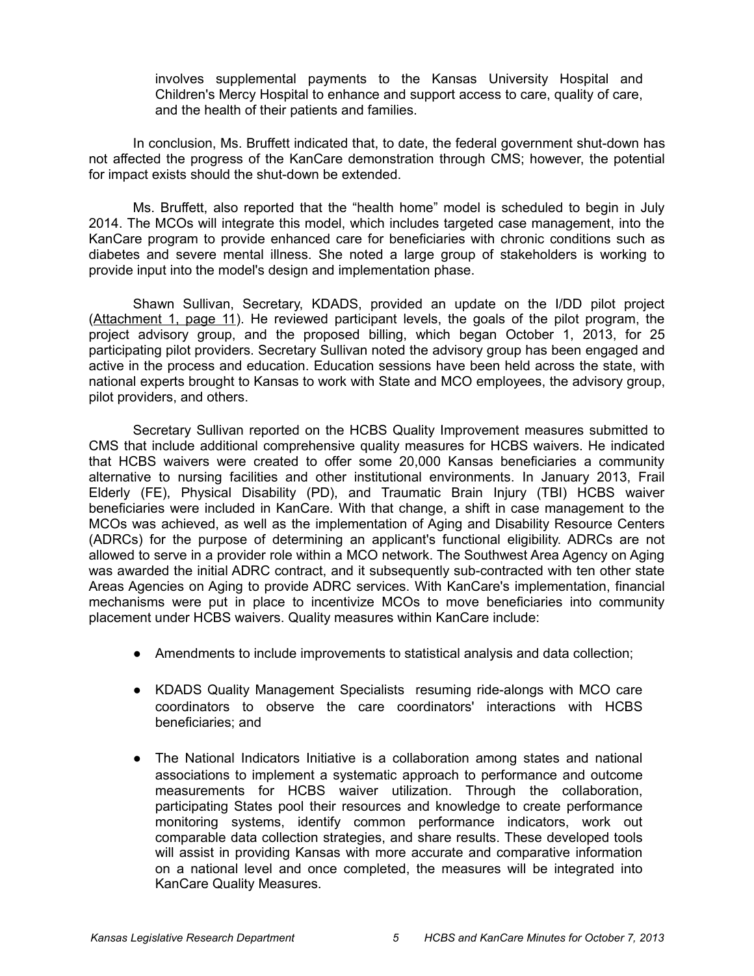involves supplemental payments to the Kansas University Hospital and Children's Mercy Hospital to enhance and support access to care, quality of care, and the health of their patients and families.

In conclusion, Ms. Bruffett indicated that, to date, the federal government shut-down has not affected the progress of the KanCare demonstration through CMS; however, the potential for impact exists should the shut-down be extended.

Ms. Bruffett, also reported that the "health home" model is scheduled to begin in July 2014. The MCOs will integrate this model, which includes targeted case management, into the KanCare program to provide enhanced care for beneficiaries with chronic conditions such as diabetes and severe mental illness. She noted a large group of stakeholders is working to provide input into the model's design and implementation phase.

Shawn Sullivan, Secretary, KDADS, provided an update on the I/DD pilot project (Attachment 1, page 11). He reviewed participant levels, the goals of the pilot program, the project advisory group, and the proposed billing, which began October 1, 2013, for 25 participating pilot providers. Secretary Sullivan noted the advisory group has been engaged and active in the process and education. Education sessions have been held across the state, with national experts brought to Kansas to work with State and MCO employees, the advisory group, pilot providers, and others.

Secretary Sullivan reported on the HCBS Quality Improvement measures submitted to CMS that include additional comprehensive quality measures for HCBS waivers. He indicated that HCBS waivers were created to offer some 20,000 Kansas beneficiaries a community alternative to nursing facilities and other institutional environments. In January 2013, Frail Elderly (FE), Physical Disability (PD), and Traumatic Brain Injury (TBI) HCBS waiver beneficiaries were included in KanCare. With that change, a shift in case management to the MCOs was achieved, as well as the implementation of Aging and Disability Resource Centers (ADRCs) for the purpose of determining an applicant's functional eligibility. ADRCs are not allowed to serve in a provider role within a MCO network. The Southwest Area Agency on Aging was awarded the initial ADRC contract, and it subsequently sub-contracted with ten other state Areas Agencies on Aging to provide ADRC services. With KanCare's implementation, financial mechanisms were put in place to incentivize MCOs to move beneficiaries into community placement under HCBS waivers. Quality measures within KanCare include:

- Amendments to include improvements to statistical analysis and data collection;
- KDADS Quality Management Specialists resuming ride-alongs with MCO care coordinators to observe the care coordinators' interactions with HCBS beneficiaries; and
- The National Indicators Initiative is a collaboration among states and national associations to implement a systematic approach to performance and outcome measurements for HCBS waiver utilization. Through the collaboration, participating States pool their resources and knowledge to create performance monitoring systems, identify common performance indicators, work out comparable data collection strategies, and share results. These developed tools will assist in providing Kansas with more accurate and comparative information on a national level and once completed, the measures will be integrated into KanCare Quality Measures.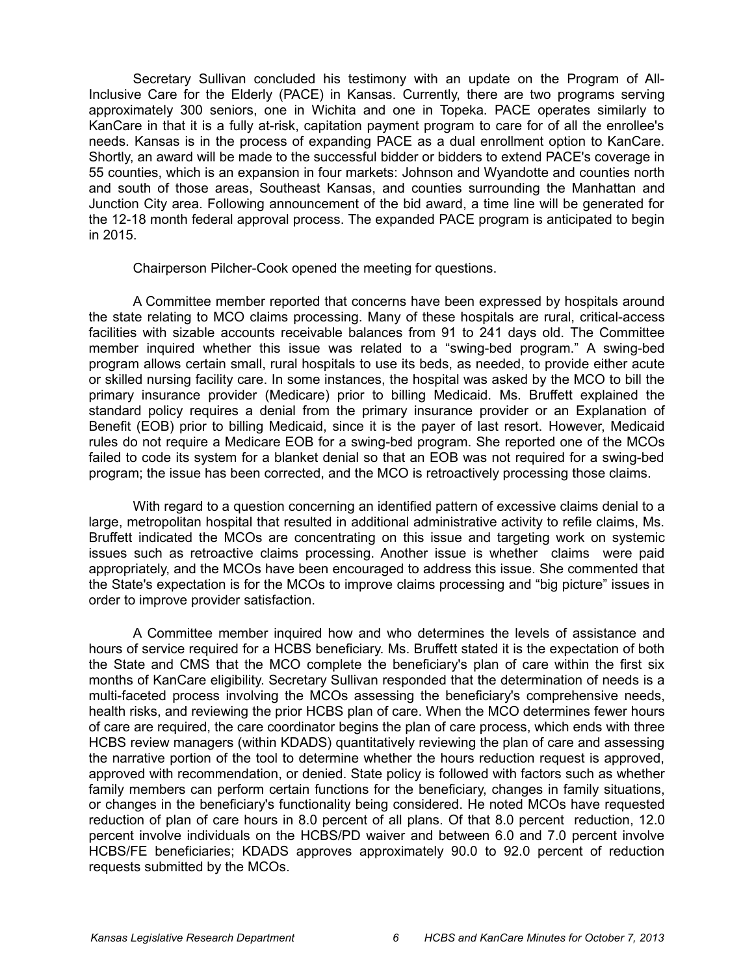Secretary Sullivan concluded his testimony with an update on the Program of All-Inclusive Care for the Elderly (PACE) in Kansas. Currently, there are two programs serving approximately 300 seniors, one in Wichita and one in Topeka. PACE operates similarly to KanCare in that it is a fully at-risk, capitation payment program to care for of all the enrollee's needs. Kansas is in the process of expanding PACE as a dual enrollment option to KanCare. Shortly, an award will be made to the successful bidder or bidders to extend PACE's coverage in 55 counties, which is an expansion in four markets: Johnson and Wyandotte and counties north and south of those areas, Southeast Kansas, and counties surrounding the Manhattan and Junction City area. Following announcement of the bid award, a time line will be generated for the 12-18 month federal approval process. The expanded PACE program is anticipated to begin in 2015.

Chairperson Pilcher-Cook opened the meeting for questions.

A Committee member reported that concerns have been expressed by hospitals around the state relating to MCO claims processing. Many of these hospitals are rural, critical-access facilities with sizable accounts receivable balances from 91 to 241 days old. The Committee member inquired whether this issue was related to a "swing-bed program." A swing-bed program allows certain small, rural hospitals to use its beds, as needed, to provide either acute or skilled nursing facility care. In some instances, the hospital was asked by the MCO to bill the primary insurance provider (Medicare) prior to billing Medicaid. Ms. Bruffett explained the standard policy requires a denial from the primary insurance provider or an Explanation of Benefit (EOB) prior to billing Medicaid, since it is the payer of last resort. However, Medicaid rules do not require a Medicare EOB for a swing-bed program. She reported one of the MCOs failed to code its system for a blanket denial so that an EOB was not required for a swing-bed program; the issue has been corrected, and the MCO is retroactively processing those claims.

With regard to a question concerning an identified pattern of excessive claims denial to a large, metropolitan hospital that resulted in additional administrative activity to refile claims, Ms. Bruffett indicated the MCOs are concentrating on this issue and targeting work on systemic issues such as retroactive claims processing. Another issue is whether claims were paid appropriately, and the MCOs have been encouraged to address this issue. She commented that the State's expectation is for the MCOs to improve claims processing and "big picture" issues in order to improve provider satisfaction.

A Committee member inquired how and who determines the levels of assistance and hours of service required for a HCBS beneficiary. Ms. Bruffett stated it is the expectation of both the State and CMS that the MCO complete the beneficiary's plan of care within the first six months of KanCare eligibility. Secretary Sullivan responded that the determination of needs is a multi-faceted process involving the MCOs assessing the beneficiary's comprehensive needs, health risks, and reviewing the prior HCBS plan of care. When the MCO determines fewer hours of care are required, the care coordinator begins the plan of care process, which ends with three HCBS review managers (within KDADS) quantitatively reviewing the plan of care and assessing the narrative portion of the tool to determine whether the hours reduction request is approved, approved with recommendation, or denied. State policy is followed with factors such as whether family members can perform certain functions for the beneficiary, changes in family situations, or changes in the beneficiary's functionality being considered. He noted MCOs have requested reduction of plan of care hours in 8.0 percent of all plans. Of that 8.0 percent reduction, 12.0 percent involve individuals on the HCBS/PD waiver and between 6.0 and 7.0 percent involve HCBS/FE beneficiaries; KDADS approves approximately 90.0 to 92.0 percent of reduction requests submitted by the MCOs.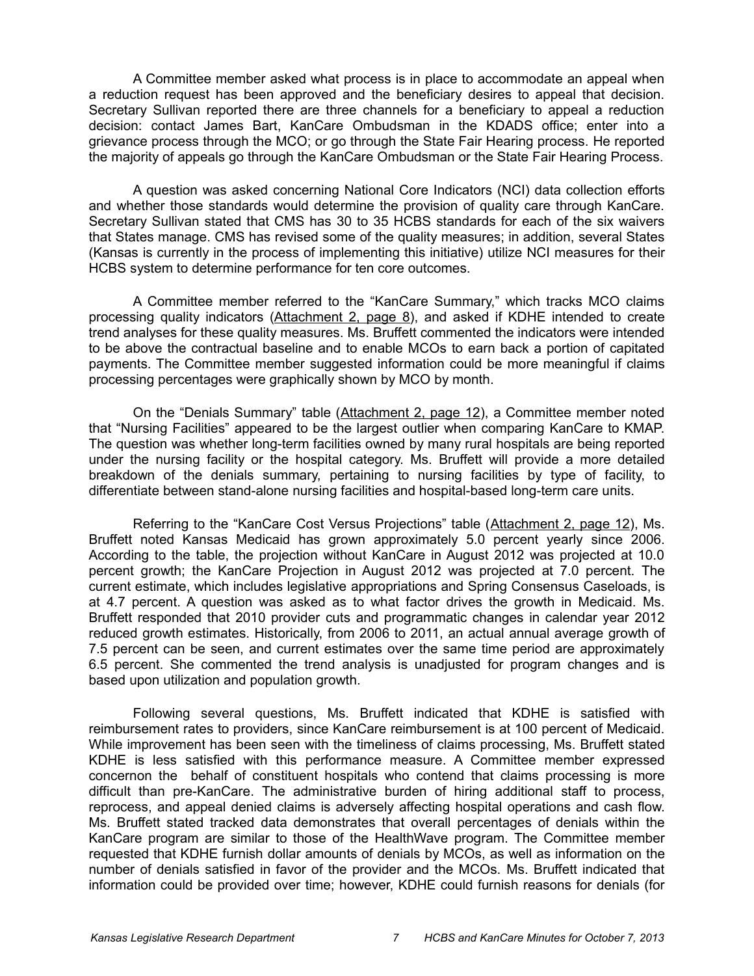A Committee member asked what process is in place to accommodate an appeal when a reduction request has been approved and the beneficiary desires to appeal that decision. Secretary Sullivan reported there are three channels for a beneficiary to appeal a reduction decision: contact James Bart, KanCare Ombudsman in the KDADS office; enter into a grievance process through the MCO; or go through the State Fair Hearing process. He reported the majority of appeals go through the KanCare Ombudsman or the State Fair Hearing Process.

A question was asked concerning National Core Indicators (NCI) data collection efforts and whether those standards would determine the provision of quality care through KanCare. Secretary Sullivan stated that CMS has 30 to 35 HCBS standards for each of the six waivers that States manage. CMS has revised some of the quality measures; in addition, several States (Kansas is currently in the process of implementing this initiative) utilize NCI measures for their HCBS system to determine performance for ten core outcomes.

A Committee member referred to the "KanCare Summary," which tracks MCO claims processing quality indicators (Attachment 2, page 8), and asked if KDHE intended to create trend analyses for these quality measures. Ms. Bruffett commented the indicators were intended to be above the contractual baseline and to enable MCOs to earn back a portion of capitated payments. The Committee member suggested information could be more meaningful if claims processing percentages were graphically shown by MCO by month.

On the "Denials Summary" table (Attachment 2, page 12), a Committee member noted that "Nursing Facilities" appeared to be the largest outlier when comparing KanCare to KMAP. The question was whether long-term facilities owned by many rural hospitals are being reported under the nursing facility or the hospital category. Ms. Bruffett will provide a more detailed breakdown of the denials summary, pertaining to nursing facilities by type of facility, to differentiate between stand-alone nursing facilities and hospital-based long-term care units.

Referring to the "KanCare Cost Versus Projections" table (Attachment 2, page 12), Ms. Bruffett noted Kansas Medicaid has grown approximately 5.0 percent yearly since 2006. According to the table, the projection without KanCare in August 2012 was projected at 10.0 percent growth; the KanCare Projection in August 2012 was projected at 7.0 percent. The current estimate, which includes legislative appropriations and Spring Consensus Caseloads, is at 4.7 percent. A question was asked as to what factor drives the growth in Medicaid. Ms. Bruffett responded that 2010 provider cuts and programmatic changes in calendar year 2012 reduced growth estimates. Historically, from 2006 to 2011, an actual annual average growth of 7.5 percent can be seen, and current estimates over the same time period are approximately 6.5 percent. She commented the trend analysis is unadjusted for program changes and is based upon utilization and population growth.

Following several questions, Ms. Bruffett indicated that KDHE is satisfied with reimbursement rates to providers, since KanCare reimbursement is at 100 percent of Medicaid. While improvement has been seen with the timeliness of claims processing, Ms. Bruffett stated KDHE is less satisfied with this performance measure. A Committee member expressed concernon the behalf of constituent hospitals who contend that claims processing is more difficult than pre-KanCare. The administrative burden of hiring additional staff to process, reprocess, and appeal denied claims is adversely affecting hospital operations and cash flow. Ms. Bruffett stated tracked data demonstrates that overall percentages of denials within the KanCare program are similar to those of the HealthWave program. The Committee member requested that KDHE furnish dollar amounts of denials by MCOs, as well as information on the number of denials satisfied in favor of the provider and the MCOs. Ms. Bruffett indicated that information could be provided over time; however, KDHE could furnish reasons for denials (for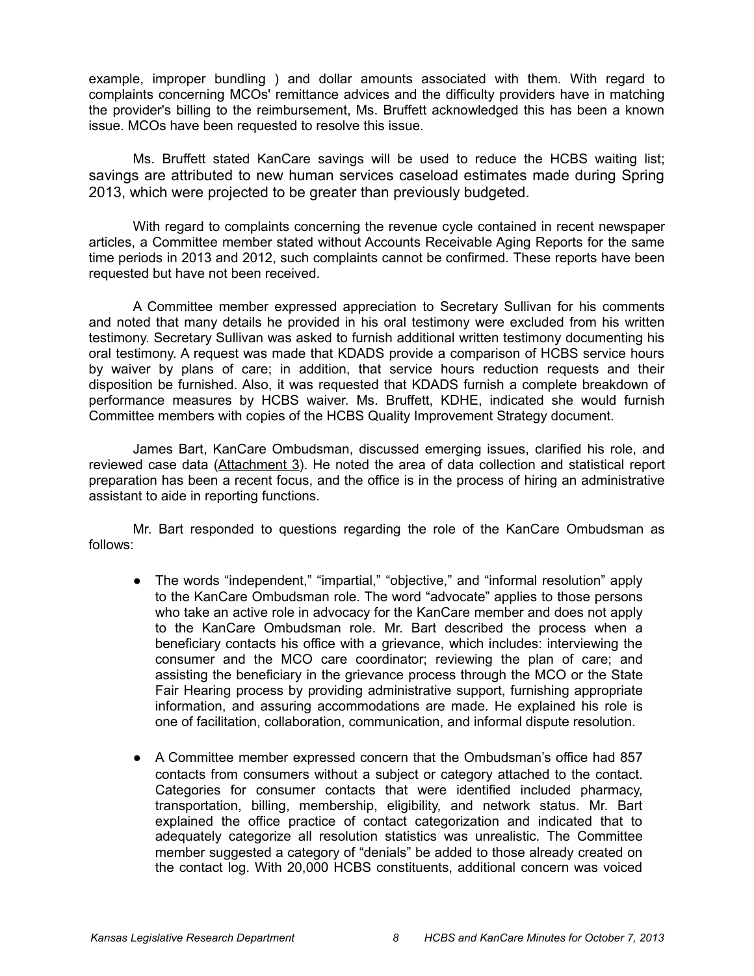example, improper bundling ) and dollar amounts associated with them. With regard to complaints concerning MCOs' remittance advices and the difficulty providers have in matching the provider's billing to the reimbursement, Ms. Bruffett acknowledged this has been a known issue. MCOs have been requested to resolve this issue.

Ms. Bruffett stated KanCare savings will be used to reduce the HCBS waiting list; savings are attributed to new human services caseload estimates made during Spring 2013, which were projected to be greater than previously budgeted.

With regard to complaints concerning the revenue cycle contained in recent newspaper articles, a Committee member stated without Accounts Receivable Aging Reports for the same time periods in 2013 and 2012, such complaints cannot be confirmed. These reports have been requested but have not been received.

A Committee member expressed appreciation to Secretary Sullivan for his comments and noted that many details he provided in his oral testimony were excluded from his written testimony. Secretary Sullivan was asked to furnish additional written testimony documenting his oral testimony. A request was made that KDADS provide a comparison of HCBS service hours by waiver by plans of care; in addition, that service hours reduction requests and their disposition be furnished. Also, it was requested that KDADS furnish a complete breakdown of performance measures by HCBS waiver. Ms. Bruffett, KDHE, indicated she would furnish Committee members with copies of the HCBS Quality Improvement Strategy document.

James Bart, KanCare Ombudsman, discussed emerging issues, clarified his role, and reviewed case data (Attachment 3). He noted the area of data collection and statistical report preparation has been a recent focus, and the office is in the process of hiring an administrative assistant to aide in reporting functions.

Mr. Bart responded to questions regarding the role of the KanCare Ombudsman as follows:

- The words "independent," "impartial," "objective," and "informal resolution" apply to the KanCare Ombudsman role. The word "advocate" applies to those persons who take an active role in advocacy for the KanCare member and does not apply to the KanCare Ombudsman role. Mr. Bart described the process when a beneficiary contacts his office with a grievance, which includes: interviewing the consumer and the MCO care coordinator; reviewing the plan of care; and assisting the beneficiary in the grievance process through the MCO or the State Fair Hearing process by providing administrative support, furnishing appropriate information, and assuring accommodations are made. He explained his role is one of facilitation, collaboration, communication, and informal dispute resolution.
- A Committee member expressed concern that the Ombudsman's office had 857 contacts from consumers without a subject or category attached to the contact. Categories for consumer contacts that were identified included pharmacy, transportation, billing, membership, eligibility, and network status. Mr. Bart explained the office practice of contact categorization and indicated that to adequately categorize all resolution statistics was unrealistic. The Committee member suggested a category of "denials" be added to those already created on the contact log. With 20,000 HCBS constituents, additional concern was voiced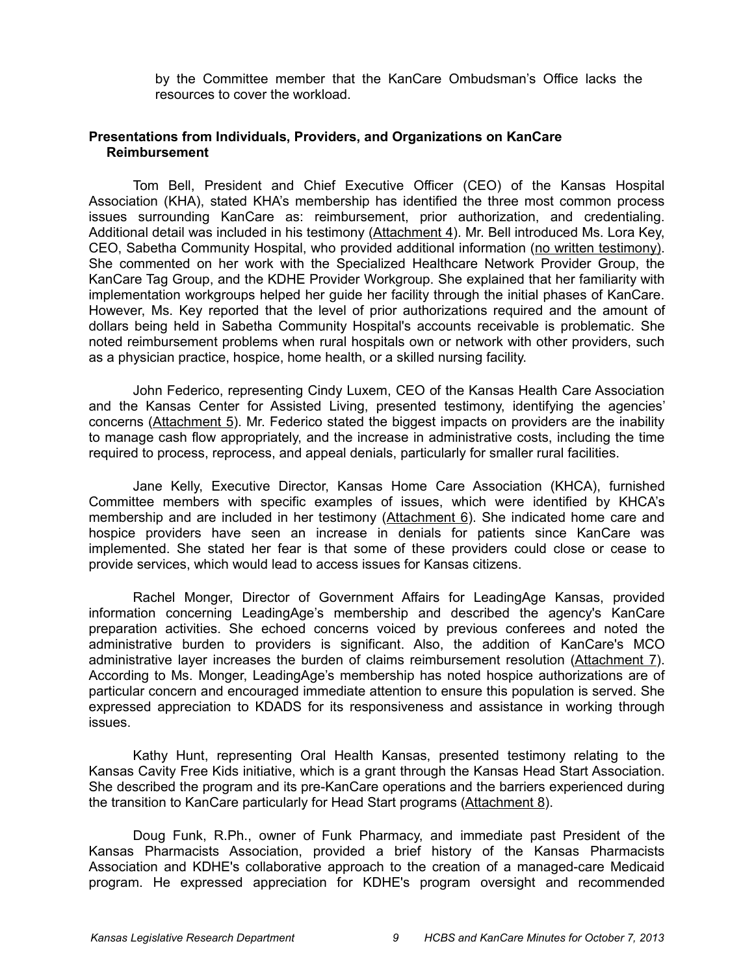by the Committee member that the KanCare Ombudsman's Office lacks the resources to cover the workload.

### **Presentations from Individuals, Providers, and Organizations on KanCare Reimbursement**

Tom Bell, President and Chief Executive Officer (CEO) of the Kansas Hospital Association (KHA), stated KHA's membership has identified the three most common process issues surrounding KanCare as: reimbursement, prior authorization, and credentialing. Additional detail was included in his testimony (Attachment 4). Mr. Bell introduced Ms. Lora Key, CEO, Sabetha Community Hospital, who provided additional information (no written testimony). She commented on her work with the Specialized Healthcare Network Provider Group, the KanCare Tag Group, and the KDHE Provider Workgroup. She explained that her familiarity with implementation workgroups helped her guide her facility through the initial phases of KanCare. However, Ms. Key reported that the level of prior authorizations required and the amount of dollars being held in Sabetha Community Hospital's accounts receivable is problematic. She noted reimbursement problems when rural hospitals own or network with other providers, such as a physician practice, hospice, home health, or a skilled nursing facility.

John Federico, representing Cindy Luxem, CEO of the Kansas Health Care Association and the Kansas Center for Assisted Living, presented testimony, identifying the agencies' concerns (Attachment 5). Mr. Federico stated the biggest impacts on providers are the inability to manage cash flow appropriately, and the increase in administrative costs, including the time required to process, reprocess, and appeal denials, particularly for smaller rural facilities.

Jane Kelly, Executive Director, Kansas Home Care Association (KHCA), furnished Committee members with specific examples of issues, which were identified by KHCA's membership and are included in her testimony (Attachment 6). She indicated home care and hospice providers have seen an increase in denials for patients since KanCare was implemented. She stated her fear is that some of these providers could close or cease to provide services, which would lead to access issues for Kansas citizens.

Rachel Monger, Director of Government Affairs for LeadingAge Kansas, provided information concerning LeadingAge's membership and described the agency's KanCare preparation activities. She echoed concerns voiced by previous conferees and noted the administrative burden to providers is significant. Also, the addition of KanCare's MCO administrative layer increases the burden of claims reimbursement resolution (Attachment 7). According to Ms. Monger, LeadingAge's membership has noted hospice authorizations are of particular concern and encouraged immediate attention to ensure this population is served. She expressed appreciation to KDADS for its responsiveness and assistance in working through issues.

Kathy Hunt, representing Oral Health Kansas, presented testimony relating to the Kansas Cavity Free Kids initiative, which is a grant through the Kansas Head Start Association. She described the program and its pre-KanCare operations and the barriers experienced during the transition to KanCare particularly for Head Start programs (Attachment 8).

Doug Funk, R.Ph., owner of Funk Pharmacy, and immediate past President of the Kansas Pharmacists Association, provided a brief history of the Kansas Pharmacists Association and KDHE's collaborative approach to the creation of a managed-care Medicaid program. He expressed appreciation for KDHE's program oversight and recommended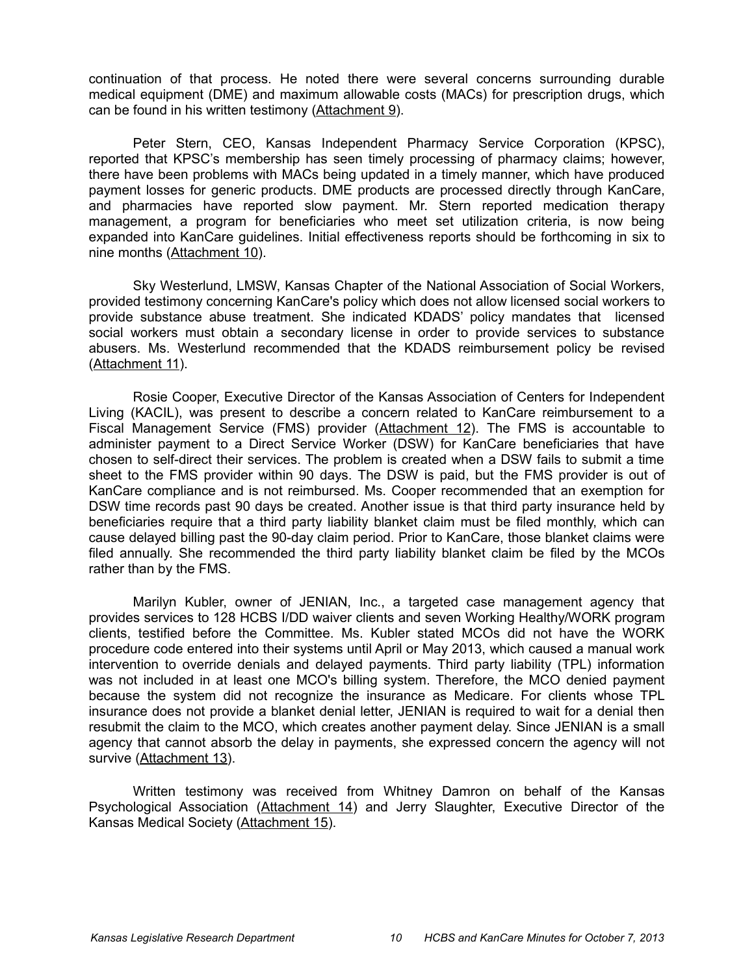continuation of that process. He noted there were several concerns surrounding durable medical equipment (DME) and maximum allowable costs (MACs) for prescription drugs, which can be found in his written testimony (Attachment 9).

Peter Stern, CEO, Kansas Independent Pharmacy Service Corporation (KPSC), reported that KPSC's membership has seen timely processing of pharmacy claims; however, there have been problems with MACs being updated in a timely manner, which have produced payment losses for generic products. DME products are processed directly through KanCare, and pharmacies have reported slow payment. Mr. Stern reported medication therapy management, a program for beneficiaries who meet set utilization criteria, is now being expanded into KanCare guidelines. Initial effectiveness reports should be forthcoming in six to nine months (Attachment 10).

Sky Westerlund, LMSW, Kansas Chapter of the National Association of Social Workers, provided testimony concerning KanCare's policy which does not allow licensed social workers to provide substance abuse treatment. She indicated KDADS' policy mandates that licensed social workers must obtain a secondary license in order to provide services to substance abusers. Ms. Westerlund recommended that the KDADS reimbursement policy be revised (Attachment 11).

Rosie Cooper, Executive Director of the Kansas Association of Centers for Independent Living (KACIL), was present to describe a concern related to KanCare reimbursement to a Fiscal Management Service (FMS) provider (Attachment 12). The FMS is accountable to administer payment to a Direct Service Worker (DSW) for KanCare beneficiaries that have chosen to self-direct their services. The problem is created when a DSW fails to submit a time sheet to the FMS provider within 90 days. The DSW is paid, but the FMS provider is out of KanCare compliance and is not reimbursed. Ms. Cooper recommended that an exemption for DSW time records past 90 days be created. Another issue is that third party insurance held by beneficiaries require that a third party liability blanket claim must be filed monthly, which can cause delayed billing past the 90-day claim period. Prior to KanCare, those blanket claims were filed annually. She recommended the third party liability blanket claim be filed by the MCOs rather than by the FMS.

Marilyn Kubler, owner of JENIAN, Inc., a targeted case management agency that provides services to 128 HCBS I/DD waiver clients and seven Working Healthy/WORK program clients, testified before the Committee. Ms. Kubler stated MCOs did not have the WORK procedure code entered into their systems until April or May 2013, which caused a manual work intervention to override denials and delayed payments. Third party liability (TPL) information was not included in at least one MCO's billing system. Therefore, the MCO denied payment because the system did not recognize the insurance as Medicare. For clients whose TPL insurance does not provide a blanket denial letter, JENIAN is required to wait for a denial then resubmit the claim to the MCO, which creates another payment delay. Since JENIAN is a small agency that cannot absorb the delay in payments, she expressed concern the agency will not survive (Attachment 13).

Written testimony was received from Whitney Damron on behalf of the Kansas Psychological Association (Attachment 14) and Jerry Slaughter, Executive Director of the Kansas Medical Society (Attachment 15).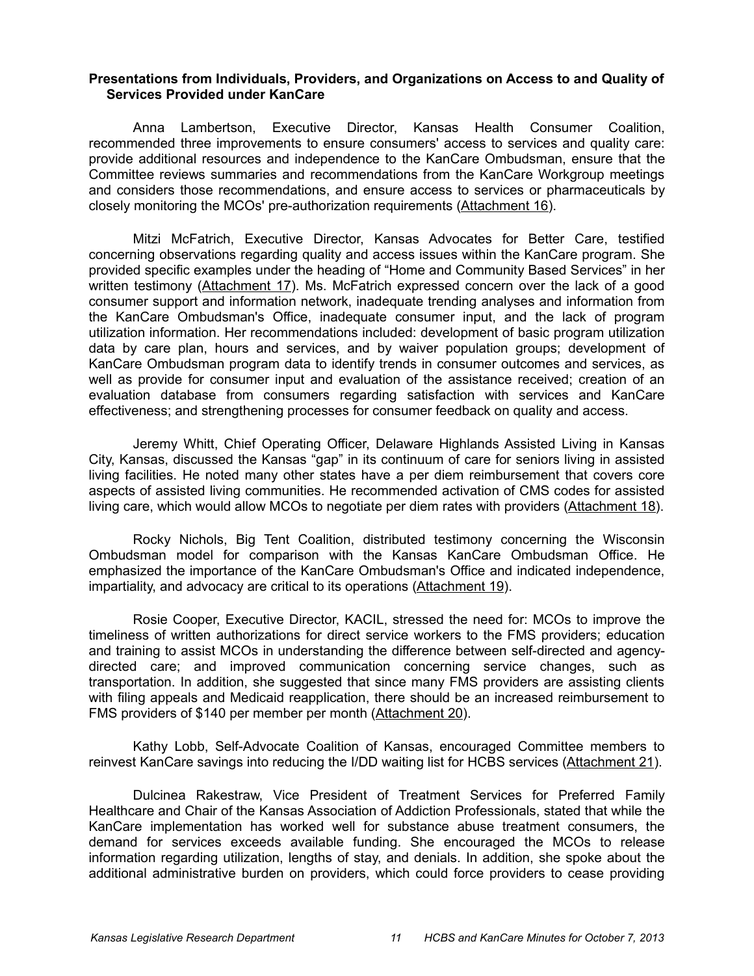### **Presentations from Individuals, Providers, and Organizations on Access to and Quality of Services Provided under KanCare**

Anna Lambertson, Executive Director, Kansas Health Consumer Coalition, recommended three improvements to ensure consumers' access to services and quality care: provide additional resources and independence to the KanCare Ombudsman, ensure that the Committee reviews summaries and recommendations from the KanCare Workgroup meetings and considers those recommendations, and ensure access to services or pharmaceuticals by closely monitoring the MCOs' pre-authorization requirements (Attachment 16).

Mitzi McFatrich, Executive Director, Kansas Advocates for Better Care, testified concerning observations regarding quality and access issues within the KanCare program. She provided specific examples under the heading of "Home and Community Based Services" in her written testimony (Attachment 17). Ms. McFatrich expressed concern over the lack of a good consumer support and information network, inadequate trending analyses and information from the KanCare Ombudsman's Office, inadequate consumer input, and the lack of program utilization information. Her recommendations included: development of basic program utilization data by care plan, hours and services, and by waiver population groups; development of KanCare Ombudsman program data to identify trends in consumer outcomes and services, as well as provide for consumer input and evaluation of the assistance received; creation of an evaluation database from consumers regarding satisfaction with services and KanCare effectiveness; and strengthening processes for consumer feedback on quality and access.

Jeremy Whitt, Chief Operating Officer, Delaware Highlands Assisted Living in Kansas City, Kansas, discussed the Kansas "gap" in its continuum of care for seniors living in assisted living facilities. He noted many other states have a per diem reimbursement that covers core aspects of assisted living communities. He recommended activation of CMS codes for assisted living care, which would allow MCOs to negotiate per diem rates with providers (Attachment 18).

Rocky Nichols, Big Tent Coalition, distributed testimony concerning the Wisconsin Ombudsman model for comparison with the Kansas KanCare Ombudsman Office. He emphasized the importance of the KanCare Ombudsman's Office and indicated independence, impartiality, and advocacy are critical to its operations (Attachment 19).

Rosie Cooper, Executive Director, KACIL, stressed the need for: MCOs to improve the timeliness of written authorizations for direct service workers to the FMS providers; education and training to assist MCOs in understanding the difference between self-directed and agencydirected care; and improved communication concerning service changes, such as transportation. In addition, she suggested that since many FMS providers are assisting clients with filing appeals and Medicaid reapplication, there should be an increased reimbursement to FMS providers of \$140 per member per month (Attachment 20).

Kathy Lobb, Self-Advocate Coalition of Kansas, encouraged Committee members to reinvest KanCare savings into reducing the I/DD waiting list for HCBS services (Attachment 21).

Dulcinea Rakestraw, Vice President of Treatment Services for Preferred Family Healthcare and Chair of the Kansas Association of Addiction Professionals, stated that while the KanCare implementation has worked well for substance abuse treatment consumers, the demand for services exceeds available funding. She encouraged the MCOs to release information regarding utilization, lengths of stay, and denials. In addition, she spoke about the additional administrative burden on providers, which could force providers to cease providing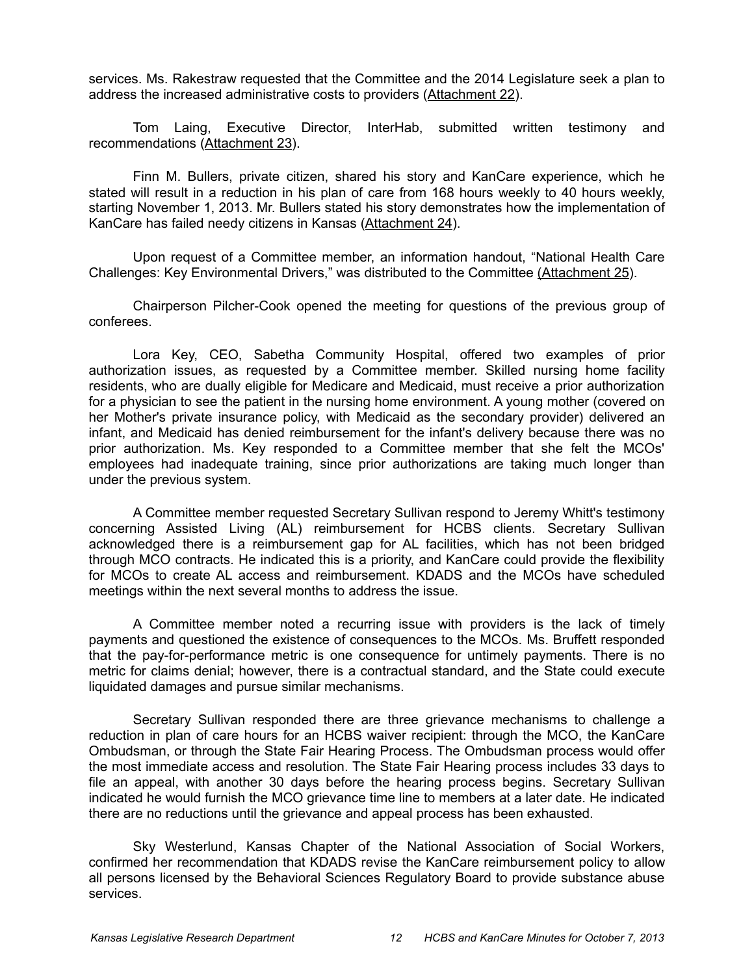services. Ms. Rakestraw requested that the Committee and the 2014 Legislature seek a plan to address the increased administrative costs to providers (Attachment 22).

Tom Laing, Executive Director, InterHab, submitted written testimony and recommendations (Attachment 23).

Finn M. Bullers, private citizen, shared his story and KanCare experience, which he stated will result in a reduction in his plan of care from 168 hours weekly to 40 hours weekly, starting November 1, 2013. Mr. Bullers stated his story demonstrates how the implementation of KanCare has failed needy citizens in Kansas (Attachment 24).

Upon request of a Committee member, an information handout, "National Health Care Challenges: Key Environmental Drivers," was distributed to the Committee (Attachment 25).

Chairperson Pilcher-Cook opened the meeting for questions of the previous group of conferees.

Lora Key, CEO, Sabetha Community Hospital, offered two examples of prior authorization issues, as requested by a Committee member. Skilled nursing home facility residents, who are dually eligible for Medicare and Medicaid, must receive a prior authorization for a physician to see the patient in the nursing home environment. A young mother (covered on her Mother's private insurance policy, with Medicaid as the secondary provider) delivered an infant, and Medicaid has denied reimbursement for the infant's delivery because there was no prior authorization. Ms. Key responded to a Committee member that she felt the MCOs' employees had inadequate training, since prior authorizations are taking much longer than under the previous system.

A Committee member requested Secretary Sullivan respond to Jeremy Whitt's testimony concerning Assisted Living (AL) reimbursement for HCBS clients. Secretary Sullivan acknowledged there is a reimbursement gap for AL facilities, which has not been bridged through MCO contracts. He indicated this is a priority, and KanCare could provide the flexibility for MCOs to create AL access and reimbursement. KDADS and the MCOs have scheduled meetings within the next several months to address the issue.

A Committee member noted a recurring issue with providers is the lack of timely payments and questioned the existence of consequences to the MCOs. Ms. Bruffett responded that the pay-for-performance metric is one consequence for untimely payments. There is no metric for claims denial; however, there is a contractual standard, and the State could execute liquidated damages and pursue similar mechanisms.

Secretary Sullivan responded there are three grievance mechanisms to challenge a reduction in plan of care hours for an HCBS waiver recipient: through the MCO, the KanCare Ombudsman, or through the State Fair Hearing Process. The Ombudsman process would offer the most immediate access and resolution. The State Fair Hearing process includes 33 days to file an appeal, with another 30 days before the hearing process begins. Secretary Sullivan indicated he would furnish the MCO grievance time line to members at a later date. He indicated there are no reductions until the grievance and appeal process has been exhausted.

Sky Westerlund, Kansas Chapter of the National Association of Social Workers, confirmed her recommendation that KDADS revise the KanCare reimbursement policy to allow all persons licensed by the Behavioral Sciences Regulatory Board to provide substance abuse services.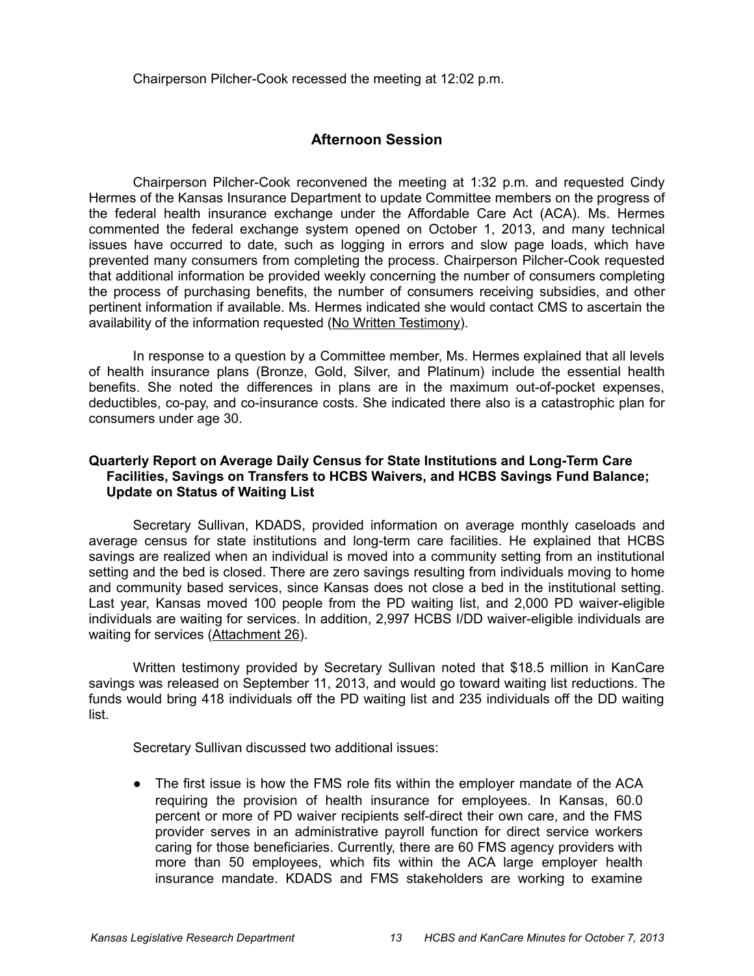Chairperson Pilcher-Cook recessed the meeting at 12:02 p.m.

# **Afternoon Session**

Chairperson Pilcher-Cook reconvened the meeting at 1:32 p.m. and requested Cindy Hermes of the Kansas Insurance Department to update Committee members on the progress of the federal health insurance exchange under the Affordable Care Act (ACA). Ms. Hermes commented the federal exchange system opened on October 1, 2013, and many technical issues have occurred to date, such as logging in errors and slow page loads, which have prevented many consumers from completing the process. Chairperson Pilcher-Cook requested that additional information be provided weekly concerning the number of consumers completing the process of purchasing benefits, the number of consumers receiving subsidies, and other pertinent information if available. Ms. Hermes indicated she would contact CMS to ascertain the availability of the information requested (No Written Testimony).

In response to a question by a Committee member, Ms. Hermes explained that all levels of health insurance plans (Bronze, Gold, Silver, and Platinum) include the essential health benefits. She noted the differences in plans are in the maximum out-of-pocket expenses, deductibles, co-pay, and co-insurance costs. She indicated there also is a catastrophic plan for consumers under age 30.

### **Quarterly Report on Average Daily Census for State Institutions and Long-Term Care Facilities, Savings on Transfers to HCBS Waivers, and HCBS Savings Fund Balance; Update on Status of Waiting List**

Secretary Sullivan, KDADS, provided information on average monthly caseloads and average census for state institutions and long-term care facilities. He explained that HCBS savings are realized when an individual is moved into a community setting from an institutional setting and the bed is closed. There are zero savings resulting from individuals moving to home and community based services, since Kansas does not close a bed in the institutional setting. Last year, Kansas moved 100 people from the PD waiting list, and 2,000 PD waiver-eligible individuals are waiting for services. In addition, 2,997 HCBS I/DD waiver-eligible individuals are waiting for services (Attachment 26).

Written testimony provided by Secretary Sullivan noted that \$18.5 million in KanCare savings was released on September 11, 2013, and would go toward waiting list reductions. The funds would bring 418 individuals off the PD waiting list and 235 individuals off the DD waiting list.

Secretary Sullivan discussed two additional issues:

• The first issue is how the FMS role fits within the employer mandate of the ACA requiring the provision of health insurance for employees. In Kansas, 60.0 percent or more of PD waiver recipients self-direct their own care, and the FMS provider serves in an administrative payroll function for direct service workers caring for those beneficiaries. Currently, there are 60 FMS agency providers with more than 50 employees, which fits within the ACA large employer health insurance mandate. KDADS and FMS stakeholders are working to examine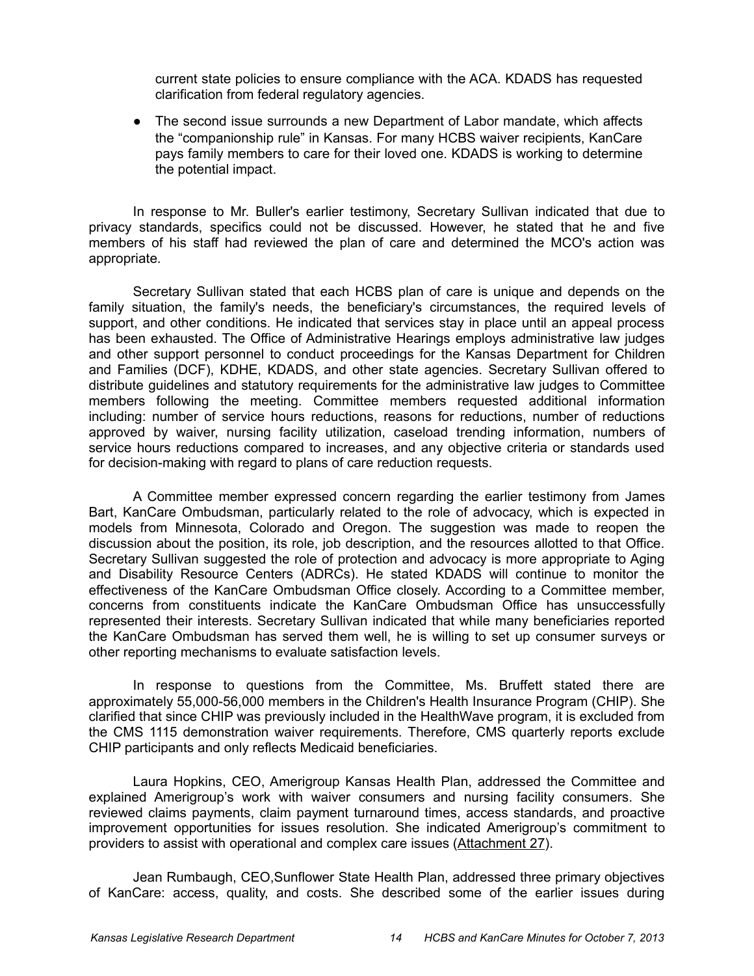current state policies to ensure compliance with the ACA. KDADS has requested clarification from federal regulatory agencies.

• The second issue surrounds a new Department of Labor mandate, which affects the "companionship rule" in Kansas. For many HCBS waiver recipients, KanCare pays family members to care for their loved one. KDADS is working to determine the potential impact.

In response to Mr. Buller's earlier testimony, Secretary Sullivan indicated that due to privacy standards, specifics could not be discussed. However, he stated that he and five members of his staff had reviewed the plan of care and determined the MCO's action was appropriate.

Secretary Sullivan stated that each HCBS plan of care is unique and depends on the family situation, the family's needs, the beneficiary's circumstances, the required levels of support, and other conditions. He indicated that services stay in place until an appeal process has been exhausted. The Office of Administrative Hearings employs administrative law judges and other support personnel to conduct proceedings for the Kansas Department for Children and Families (DCF), KDHE, KDADS, and other state agencies. Secretary Sullivan offered to distribute guidelines and statutory requirements for the administrative law judges to Committee members following the meeting. Committee members requested additional information including: number of service hours reductions, reasons for reductions, number of reductions approved by waiver, nursing facility utilization, caseload trending information, numbers of service hours reductions compared to increases, and any objective criteria or standards used for decision-making with regard to plans of care reduction requests.

A Committee member expressed concern regarding the earlier testimony from James Bart, KanCare Ombudsman, particularly related to the role of advocacy, which is expected in models from Minnesota, Colorado and Oregon. The suggestion was made to reopen the discussion about the position, its role, job description, and the resources allotted to that Office. Secretary Sullivan suggested the role of protection and advocacy is more appropriate to Aging and Disability Resource Centers (ADRCs). He stated KDADS will continue to monitor the effectiveness of the KanCare Ombudsman Office closely. According to a Committee member, concerns from constituents indicate the KanCare Ombudsman Office has unsuccessfully represented their interests. Secretary Sullivan indicated that while many beneficiaries reported the KanCare Ombudsman has served them well, he is willing to set up consumer surveys or other reporting mechanisms to evaluate satisfaction levels.

In response to questions from the Committee, Ms. Bruffett stated there are approximately 55,000-56,000 members in the Children's Health Insurance Program (CHIP). She clarified that since CHIP was previously included in the HealthWave program, it is excluded from the CMS 1115 demonstration waiver requirements. Therefore, CMS quarterly reports exclude CHIP participants and only reflects Medicaid beneficiaries.

Laura Hopkins, CEO, Amerigroup Kansas Health Plan, addressed the Committee and explained Amerigroup's work with waiver consumers and nursing facility consumers. She reviewed claims payments, claim payment turnaround times, access standards, and proactive improvement opportunities for issues resolution. She indicated Amerigroup's commitment to providers to assist with operational and complex care issues (Attachment 27).

Jean Rumbaugh, CEO,Sunflower State Health Plan, addressed three primary objectives of KanCare: access, quality, and costs. She described some of the earlier issues during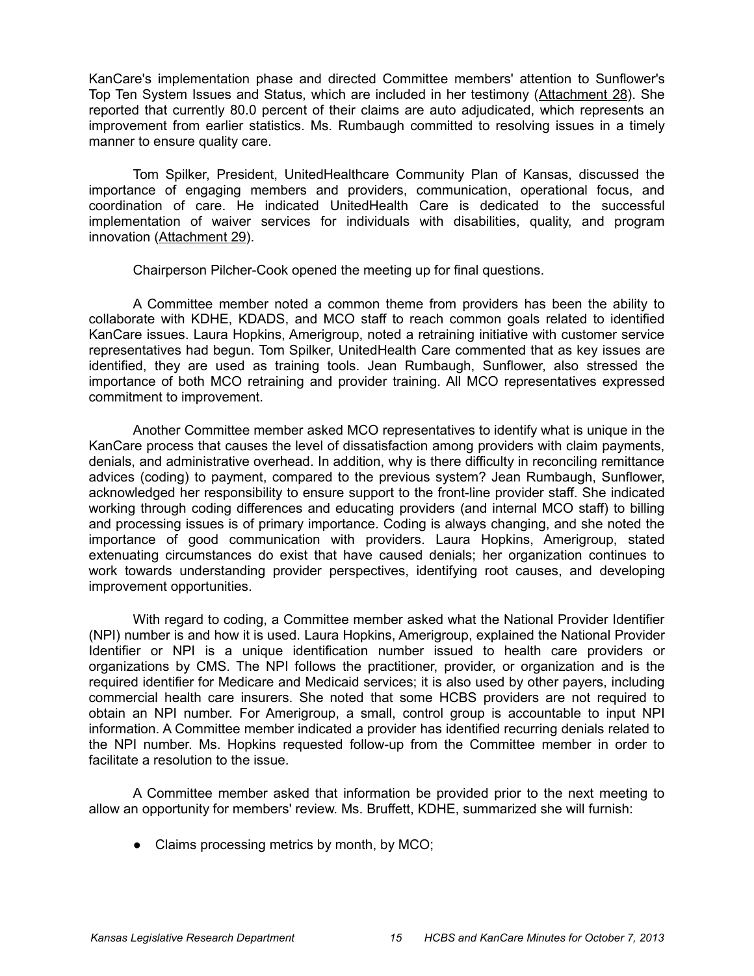KanCare's implementation phase and directed Committee members' attention to Sunflower's Top Ten System Issues and Status, which are included in her testimony (Attachment 28). She reported that currently 80.0 percent of their claims are auto adjudicated, which represents an improvement from earlier statistics. Ms. Rumbaugh committed to resolving issues in a timely manner to ensure quality care.

Tom Spilker, President, UnitedHealthcare Community Plan of Kansas, discussed the importance of engaging members and providers, communication, operational focus, and coordination of care. He indicated UnitedHealth Care is dedicated to the successful implementation of waiver services for individuals with disabilities, quality, and program innovation (Attachment 29).

Chairperson Pilcher-Cook opened the meeting up for final questions.

A Committee member noted a common theme from providers has been the ability to collaborate with KDHE, KDADS, and MCO staff to reach common goals related to identified KanCare issues. Laura Hopkins, Amerigroup, noted a retraining initiative with customer service representatives had begun. Tom Spilker, UnitedHealth Care commented that as key issues are identified, they are used as training tools. Jean Rumbaugh, Sunflower, also stressed the importance of both MCO retraining and provider training. All MCO representatives expressed commitment to improvement.

Another Committee member asked MCO representatives to identify what is unique in the KanCare process that causes the level of dissatisfaction among providers with claim payments, denials, and administrative overhead. In addition, why is there difficulty in reconciling remittance advices (coding) to payment, compared to the previous system? Jean Rumbaugh, Sunflower, acknowledged her responsibility to ensure support to the front-line provider staff. She indicated working through coding differences and educating providers (and internal MCO staff) to billing and processing issues is of primary importance. Coding is always changing, and she noted the importance of good communication with providers. Laura Hopkins, Amerigroup, stated extenuating circumstances do exist that have caused denials; her organization continues to work towards understanding provider perspectives, identifying root causes, and developing improvement opportunities.

With regard to coding, a Committee member asked what the National Provider Identifier (NPI) number is and how it is used. Laura Hopkins, Amerigroup, explained the National Provider Identifier or NPI is a unique identification number issued to health care providers or organizations by CMS. The NPI follows the practitioner, provider, or organization and is the required identifier for Medicare and Medicaid services; it is also used by other payers, including commercial health care insurers. She noted that some HCBS providers are not required to obtain an NPI number. For Amerigroup, a small, control group is accountable to input NPI information. A Committee member indicated a provider has identified recurring denials related to the NPI number. Ms. Hopkins requested follow-up from the Committee member in order to facilitate a resolution to the issue.

A Committee member asked that information be provided prior to the next meeting to allow an opportunity for members' review. Ms. Bruffett, KDHE, summarized she will furnish:

• Claims processing metrics by month, by MCO;